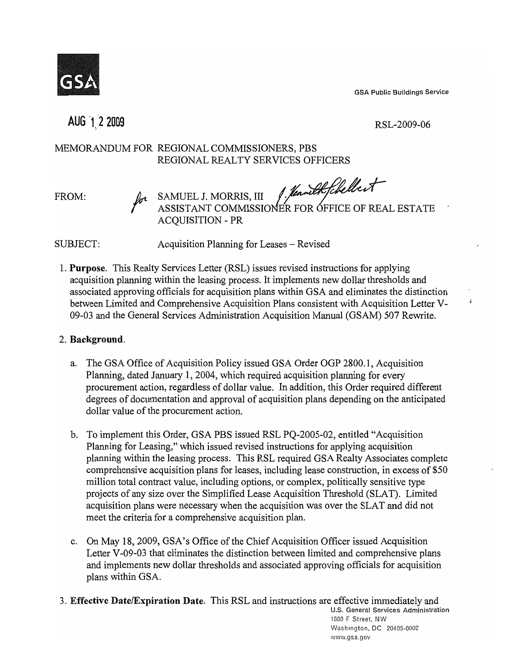GSA Public Buildings Service



AUG 1 2 2009

RSL-2009-06

 $\ddot{ }$ 

# MEMORANDUM FOR REGIONAL COMMISSIONERS, PBS REGIONAL REALTY SERVICES OFFICERS

 $FROM:$   $\mu_a$  SAMUEL J. MORRIS,  $III$  f. fennilkfehellest ASSISTANT COMMISSIONER FOR OFFICE OF REAL ESTATE ACOUISITION - PR

SUBJECT: Acquisition Planning for Leases – Revised

1. Purpose. This Realty Services Letter (RSL) issues revised instructions for applying acquisition planning within the leasing process. It implements new dollar thresholds and associated approving officials for acquisition plans within GSA and eliminates the distinction between Limited and Comprehensive Acquisition Plans consistent with Acquisition Letter V-09-03 and the General Services Administration Acquisition Manual (GSAM) 507 Rewrite.

# 2. Background.

- a. The GSA Office of Acquisition Policy issued GSA Order OGP 2800.1, Acquisition Planning, dated January 1,2004, which required acquisition planning for every procurement action, regardless of dollar value. In addition, this Order required different degrees of documentation and approval of acquisition plans depending on the anticipated dollar value of the procurement action.
- b. To implement this Order, GSA PBS issued RSL PQ-2005-02, entitled "Acquisition Planning for Leasing," which issued revised instructions for applying acquisition planning within the leasing process. This RSL required GSA Realty Associates complete comprehensive acquisition plans for leases, including lease construction, in excess of \$50 million total contract value, including options, or complex, politically sensitive type projects of any size over the Simplified Lease Acquisition Threshold (SLAT). Limited acquisition plans were necessary when the acquisition was over the SLAT and did not meet the criteria for a comprehensive acquisition plan.
- c. On May 18,2009, GSA's Office of the Chief Acquisition Officer issued Acquisition Letter V-09-03 that eliminates the distinction between limited and comprehensive plans and implements new dollar thresholds and associated approving officials for acquisition plans within GSA.
- 3. Effective Date/Expiration Date. This RSL and instructions are effective immediately and u.s. General Services Administration

1800 F Street, NW Washington, DC 20405-0002 www.gsa.gov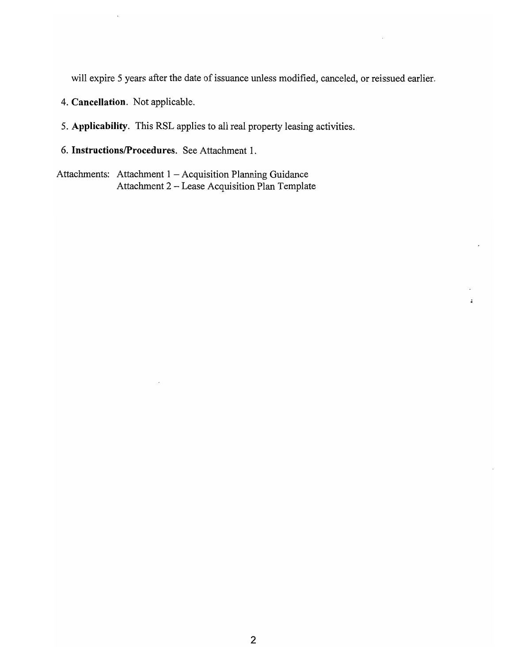will expire 5 years after the date of issuance unless modified, canceled, or reissued earlier.

 $\ddot{a}$ 

- 4. **Cancellation.** Not applicable.
- 5. **Applicability.** This RSL applies to all real property leasing activities.
- 6. **InstructionslProcedures.** See Attachment 1.

Attachments: Attachment  $1 -$  Acquisition Planning Guidance Attachment 2 - Lease Acquisition Plan Template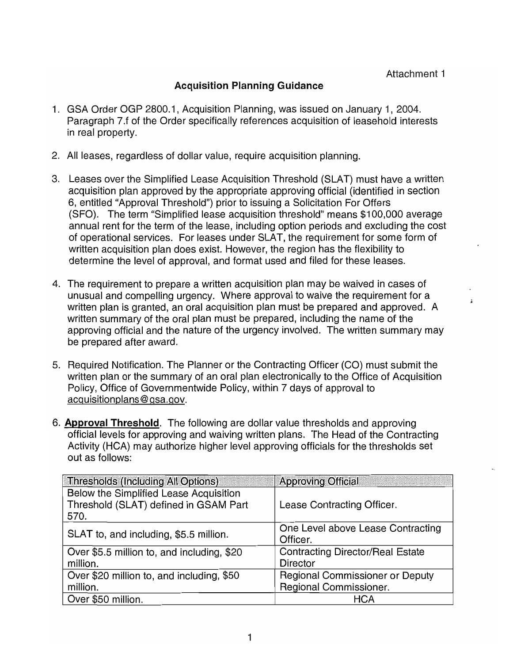## **Acquisition Planning Guidance**

- 1. GSA Order OGP 2800.1, Acquisition Planning, was issued on January 1, 2004. Paragraph 7.f of the Order specifically references acquisition of leasehold interests in real property.
- 2. All leases, regardless of dollar value, require acquisition planning.
- 3. Leases over the Simplified Lease Acquisition Threshold (SLAT) must have a written acquisition plan approved by the appropriate approving official (identified in section 6, entitled "Approval Threshold") prior to issuing a Solicitation For Offers (SFO). The term "Simplified lease acquisition threshold" means \$100,000 average annual rent for the term of the lease, including option periods and excluding the cost of operational services. For leases under SLAT, the requirement for some form of written acquisition plan does exist. However, the region has the flexibility to determine the level of approval, and format used and filed for these leases.
- 4. The requirement to prepare a written acquisition plan may be waived in cases of unusual and compelling urgency. Where approval to waive the requirement for a written plan is granted, an oral acquisition plan must be prepared and approved. A written summary of the oral plan must be prepared, including the name of the approving official and the nature of the urgency involved. The written summary may be prepared after award.
- 5. Required Notification. The Planner or the Contracting Officer (CO) must submit the written plan or the summary of an oral plan electronically to the Office of Acquisition Policy, Office of Governmentwide Policy, within 7 days of approval to acquisitionplans@ gsa.gov.
- 6. **Approval Threshold.** The following are dollar value thresholds and approving official levels for approving and waiving written plans. The Head of the Contracting Activity (HCA) may authorize higher level approving officials for the thresholds set out as follows:

| <b>Thresholds (Including All Options)</b>  | <b>Approving Official</b>               |
|--------------------------------------------|-----------------------------------------|
| Below the Simplified Lease Acquisition     |                                         |
| Threshold (SLAT) defined in GSAM Part      | Lease Contracting Officer.              |
| 570.                                       |                                         |
| SLAT to, and including, \$5.5 million.     | One Level above Lease Contracting       |
|                                            | Officer.                                |
| Over \$5.5 million to, and including, \$20 | <b>Contracting Director/Real Estate</b> |
| million.                                   | <b>Director</b>                         |
| Over \$20 million to, and including, \$50  | Regional Commissioner or Deputy         |
| million.                                   | Regional Commissioner.                  |
| Over \$50 million.                         | HCA                                     |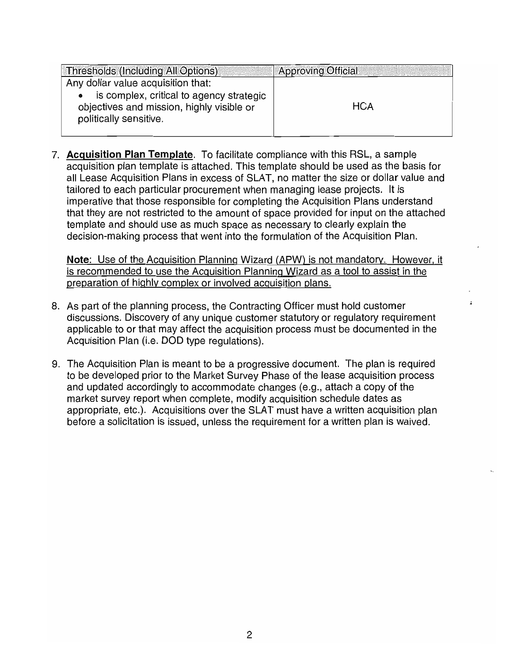| <b>Thresholds (Including All Options)</b>                                                                       | <b>Approving Official</b> |
|-----------------------------------------------------------------------------------------------------------------|---------------------------|
| Any dollar value acquisition that:                                                                              |                           |
| is complex, critical to agency strategic<br>objectives and mission, highly visible or<br>politically sensitive. | <b>HCA</b>                |

7. Acquisition **Plan** Template. To facilitate compliance with this RSL, a sample acquisition plan template is attached. This template should be used as the basis for all Lease Acquisition Plans in excess of SLAT, no matter the size or dollar value and tailored to each particular procurement when managing lease projects. It is imperative that those responsible for completing the Acquisition Plans understand that they are not restricted to the amount of space provided for input on the attached template and should use as much space as necessary to clearly explain the decision-making process that went into the formulation of the Acquisition Plan.

Note: Use of the Acquisition Planning Wizard (APW) is not mandatory. However, it is recommended to use the Acquisition Planning Wizard as a tool to assist in the preparation of highly complex or involved acquisition plans.

- 8. As part of the planning process, the Contracting Officer must hold customer discussions. Discovery of any unique customer statutory or regulatory requirement applicable to or that may affect the acquisition process must be documented in the Acquisition Plan (i.e. DOD type regulations).
- 9. The Acquisition Plan is meant to be a progressive document. The plan is required to be developed prior to the Market Survey Phase of the lease acquisition process and updated accordingly to accommodate changes (e.g., attach a copy of the market survey report when complete, modify acquisition schedule dates as appropriate, etc.). Acquisitions over the SLAT must have a written acquisition plan before a solicitation is issued, unless the requirement for a written plan is waived.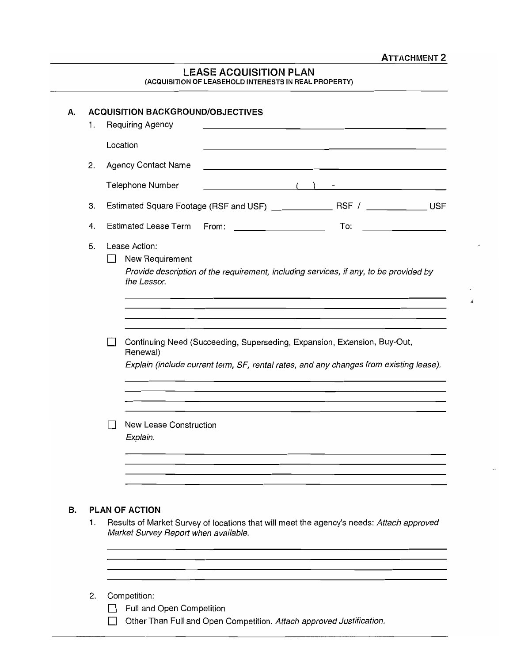$\ddot{i}$ 

### LEASE ACQUISITION PLAN (ACQUISITION OF LEASEHOLD INTERESTS IN REAL PROPERTY)

| А. | 1. | <b>ACQUISITION BACKGROUND/OBJECTIVES</b><br>Requiring Agency                                                                                                                                                                     |
|----|----|----------------------------------------------------------------------------------------------------------------------------------------------------------------------------------------------------------------------------------|
|    |    | Location                                                                                                                                                                                                                         |
|    | 2. | <b>Agency Contact Name</b>                                                                                                                                                                                                       |
|    |    | $\left(\begin{array}{cc} 1 & 1 \end{array}\right)$ and the contract of $\left(\begin{array}{cc} 1 & 1 \end{array}\right)$<br>Telephone Number                                                                                    |
|    | З. |                                                                                                                                                                                                                                  |
|    | 4. | <b>Estimated Lease Term</b><br>To:<br>From:<br><u> 1989 - Johann Barbara, martin a</u><br>the control of the control of the control of                                                                                           |
|    | 5. | Lease Action:<br>New Requirement<br>Provide description of the requirement, including services, if any, to be provided by<br>the Lessor.<br>Continuing Need (Succeeding, Superseding, Expansion, Extension, Buy-Out,<br>Renewal) |
|    |    | Explain (include current term, SF, rental rates, and any changes from existing lease).<br>New Lease Construction<br>Explain.                                                                                                     |
| В. | 1. | PLAN OF ACTION<br>Results of Market Survey of locations that will meet the agency's needs: Attach approved<br>Market Survey Report when available.                                                                               |
|    | 2. | Competition:<br>Full and Open Competition<br>Other Than Full and Open Competition. Attach approved Justification.                                                                                                                |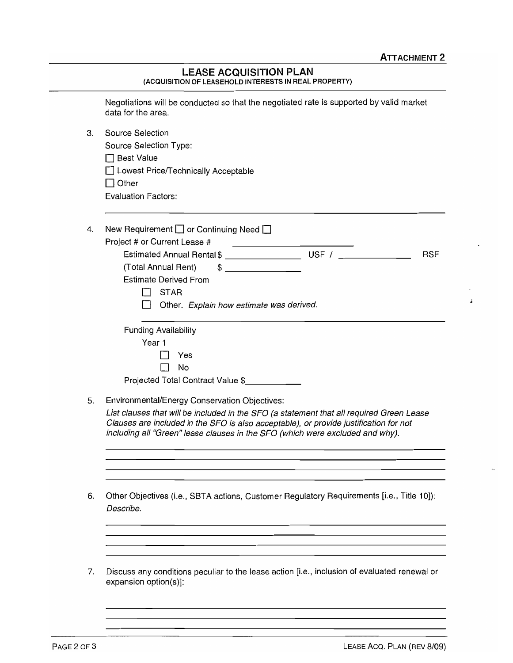$\ddot{i}$ 

#### LEASE ACQUISITION PLAN (ACQUISITION OF LEASEHOLD INTERESTS IN REAL PROPERTY)

|    | Negotiations will be conducted so that the negotiated rate is supported by valid market<br>data for the area.                                                                                                                                                      |
|----|--------------------------------------------------------------------------------------------------------------------------------------------------------------------------------------------------------------------------------------------------------------------|
| З. | <b>Source Selection</b>                                                                                                                                                                                                                                            |
|    | Source Selection Type:                                                                                                                                                                                                                                             |
|    | □ Best Value                                                                                                                                                                                                                                                       |
|    | Lowest Price/Technically Acceptable                                                                                                                                                                                                                                |
|    | $\Box$ Other                                                                                                                                                                                                                                                       |
|    | <b>Evaluation Factors:</b>                                                                                                                                                                                                                                         |
| 4. | New Requirement $\Box$ or Continuing Need $\Box$                                                                                                                                                                                                                   |
|    | Project # or Current Lease #<br><u> The Common School (1989)</u>                                                                                                                                                                                                   |
|    | <b>RSF</b>                                                                                                                                                                                                                                                         |
|    | (Total Annual Rent)<br>$\frac{1}{2}$                                                                                                                                                                                                                               |
|    | <b>Estimate Derived From</b>                                                                                                                                                                                                                                       |
|    | <b>STAR</b>                                                                                                                                                                                                                                                        |
|    | Other. Explain how estimate was derived.                                                                                                                                                                                                                           |
|    | <b>Funding Availability</b>                                                                                                                                                                                                                                        |
|    | Year 1                                                                                                                                                                                                                                                             |
|    | Yes                                                                                                                                                                                                                                                                |
|    | No                                                                                                                                                                                                                                                                 |
|    | Projected Total Contract Value \$                                                                                                                                                                                                                                  |
| 5. | Environmental/Energy Conservation Objectives:                                                                                                                                                                                                                      |
|    | List clauses that will be included in the SFO (a statement that all required Green Lease<br>Clauses are included in the SFO is also acceptable), or provide justification for not<br>including all "Green" lease clauses in the SFO (which were excluded and why). |
|    |                                                                                                                                                                                                                                                                    |
| 6. | Other Objectives (i.e., SBTA actions, Customer Regulatory Requirements [i.e., Title 10]):<br>Describe.                                                                                                                                                             |
|    |                                                                                                                                                                                                                                                                    |
|    |                                                                                                                                                                                                                                                                    |